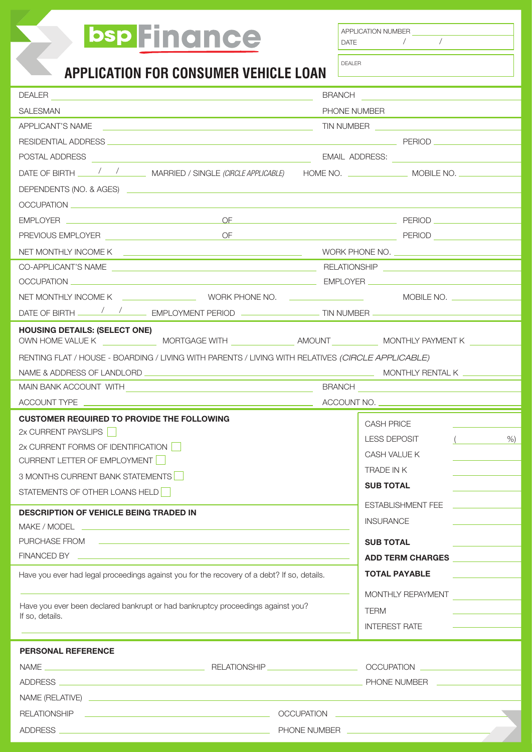# bsp Finance

**APPLICATION NUMBER** 

| APPLIUATIUN NUIVIDEI |  |
|----------------------|--|
| DATE                 |  |

/ /

| <b>APPLICATION FOR CONSUMER VEHICLE LOAN</b>                                                                                                                                                                                                     | <b>DEALER</b>                                                                                                                                                                                                                 |
|--------------------------------------------------------------------------------------------------------------------------------------------------------------------------------------------------------------------------------------------------|-------------------------------------------------------------------------------------------------------------------------------------------------------------------------------------------------------------------------------|
| <b>DEALER</b>                                                                                                                                                                                                                                    | BRANCH <u>__________________</u>                                                                                                                                                                                              |
| <b>SALESMAN</b><br>the control of the control of the control of the control of the control of the control of the control of the control of the control of the control of the control of the control of the control of the control of the control | PHONE NUMBER                                                                                                                                                                                                                  |
| APPLICANT'S NAME                                                                                                                                                                                                                                 | TIN NUMBER <u>__________________________________</u>                                                                                                                                                                          |
|                                                                                                                                                                                                                                                  |                                                                                                                                                                                                                               |
| POSTAL ADDRESS <b>And Address Container and Address and Address and Address and Address and Address and Address and Address and Address and Address and Address and Address and Address and Address and Address and Address an</b>               | EMAIL ADDRESS: New York State State State State State State State State State State State State State State State State State State State State State State State State State State State State State State State State State |
|                                                                                                                                                                                                                                                  |                                                                                                                                                                                                                               |
|                                                                                                                                                                                                                                                  |                                                                                                                                                                                                                               |
|                                                                                                                                                                                                                                                  |                                                                                                                                                                                                                               |
| EMPLOYER <u>New York and the Second Community of the Second Community of the Second Community of the Second Community of the Second Community of the Second Community of the Second Community of the Second Community of the Sec</u>             |                                                                                                                                                                                                                               |
|                                                                                                                                                                                                                                                  |                                                                                                                                                                                                                               |
|                                                                                                                                                                                                                                                  | NET MONTHLY INCOME K COME COME COMMUNICATION CONTROL CONTROL COMMUNICATION COMMUNICATION COMMUNICATION COMMUNI                                                                                                                |
|                                                                                                                                                                                                                                                  |                                                                                                                                                                                                                               |
|                                                                                                                                                                                                                                                  |                                                                                                                                                                                                                               |
|                                                                                                                                                                                                                                                  |                                                                                                                                                                                                                               |
|                                                                                                                                                                                                                                                  | DATE OF BIRTH $\frac{1}{\sqrt{2}}$ EMPLOYMENT PERIOD                                                                                                                                                                          |
| <b>HOUSING DETAILS: (SELECT ONE)</b>                                                                                                                                                                                                             |                                                                                                                                                                                                                               |
| RENTING FLAT / HOUSE - BOARDING / LIVING WITH PARENTS / LIVING WITH RELATIVES (CIRCLE APPLICABLE)                                                                                                                                                |                                                                                                                                                                                                                               |
|                                                                                                                                                                                                                                                  |                                                                                                                                                                                                                               |
|                                                                                                                                                                                                                                                  |                                                                                                                                                                                                                               |
|                                                                                                                                                                                                                                                  | ACCOUNT NO.                                                                                                                                                                                                                   |
| <b>CUSTOMER REQUIRED TO PROVIDE THE FOLLOWING</b>                                                                                                                                                                                                | <b>CASH PRICE</b>                                                                                                                                                                                                             |
| 2x CURRENT PAYSLIPS                                                                                                                                                                                                                              | <b>LESS DEPOSIT</b><br>$\mathcal{L}$<br>%                                                                                                                                                                                     |
| 2x CURRENT FORMS OF IDENTIFICATION                                                                                                                                                                                                               | CASH VALUE K                                                                                                                                                                                                                  |
| CURRENT LETTER OF EMPLOYMENT                                                                                                                                                                                                                     | <b>TRADE IN K</b>                                                                                                                                                                                                             |
| 3 MONTHS CURRENT BANK STATEMENTS                                                                                                                                                                                                                 | <b>SUB TOTAL</b>                                                                                                                                                                                                              |
| STATEMENTS OF OTHER LOANS HELD                                                                                                                                                                                                                   |                                                                                                                                                                                                                               |
| <b>DESCRIPTION OF VEHICLE BEING TRADED IN</b>                                                                                                                                                                                                    | <b>ESTABLISHMENT FEE</b>                                                                                                                                                                                                      |
| MAKE / MODEL NOTE: NOTE: NOTE: NOTE: NOTE: NOTE: NOTE: NOTE: NOTE: NOTE: NOTE: NOTE: NOTE: NOTE: NOTE: NOTE: NOTE: NOTE: NOTE: NOTE: NOTE: NOTE: NOTE: NOTE: NOTE: NOTE: NOTE: NOTE: NOTE: NOTE: NOTE: NOTE: NOTE: NOTE: NOTE:                   | <b>INSURANCE</b>                                                                                                                                                                                                              |
| PURCHASE FROM <b>CONTROL CONTROL CONTROL CONTROL CONTROL CONTROL CONTROL CONTROL</b>                                                                                                                                                             | <b>SUB TOTAL</b>                                                                                                                                                                                                              |
| FINANCED BY <b>Example 2018</b> The Contract of the Contract of the Contract of the Contract of the Contract of the Contract of the Contract of the Contract of the Contract of the Contract of the Contract of the Contract of the              | ADD TERM CHARGES                                                                                                                                                                                                              |
| Have you ever had legal proceedings against you for the recovery of a debt? If so, details.                                                                                                                                                      | <b>TOTAL PAYABLE</b>                                                                                                                                                                                                          |
|                                                                                                                                                                                                                                                  | MONTHLY REPAYMENT                                                                                                                                                                                                             |
| Have you ever been declared bankrupt or had bankruptcy proceedings against you?                                                                                                                                                                  | <b>TERM</b>                                                                                                                                                                                                                   |
| If so, details.                                                                                                                                                                                                                                  | <b>INTEREST RATE</b>                                                                                                                                                                                                          |
| <b>PERSONAL REFERENCE</b>                                                                                                                                                                                                                        |                                                                                                                                                                                                                               |
|                                                                                                                                                                                                                                                  |                                                                                                                                                                                                                               |
|                                                                                                                                                                                                                                                  | PHONE NUMBER <b>Internal PHONE NUMBER</b>                                                                                                                                                                                     |
|                                                                                                                                                                                                                                                  |                                                                                                                                                                                                                               |
| <b>RELATIONSHIP</b><br><u> 1989 - Andrea Stadt Britain, amerikansk politiker (</u>                                                                                                                                                               |                                                                                                                                                                                                                               |
|                                                                                                                                                                                                                                                  |                                                                                                                                                                                                                               |
|                                                                                                                                                                                                                                                  |                                                                                                                                                                                                                               |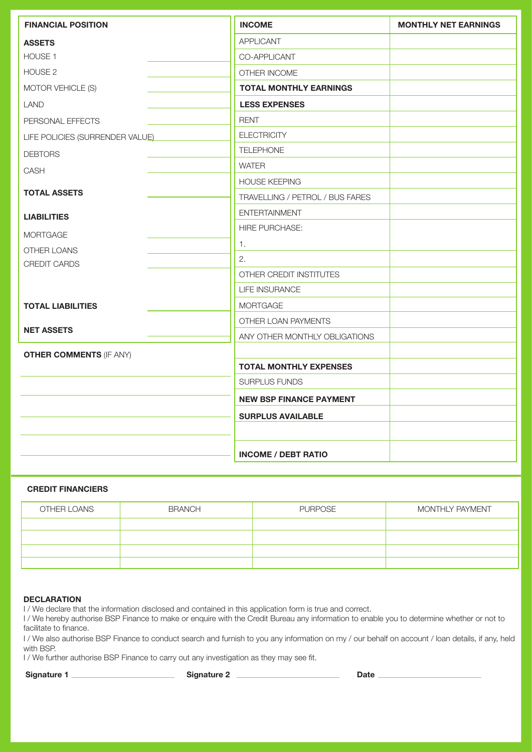| <b>FINANCIAL POSITION</b>       | <b>INCOME</b>                   | <b>MONTHLY NET EARNINGS</b> |
|---------------------------------|---------------------------------|-----------------------------|
| <b>ASSETS</b>                   | <b>APPLICANT</b>                |                             |
| HOUSE <sub>1</sub>              | CO-APPLICANT                    |                             |
| HOUSE <sub>2</sub>              | OTHER INCOME                    |                             |
| MOTOR VEHICLE (S)               | <b>TOTAL MONTHLY EARNINGS</b>   |                             |
| <b>LAND</b>                     | <b>LESS EXPENSES</b>            |                             |
| PERSONAL EFFECTS                | <b>RENT</b>                     |                             |
| LIFE POLICIES (SURRENDER VALUE) | <b>ELECTRICITY</b>              |                             |
| <b>DEBTORS</b>                  | <b>TELEPHONE</b>                |                             |
| CASH                            | <b>WATER</b>                    |                             |
|                                 | <b>HOUSE KEEPING</b>            |                             |
| <b>TOTAL ASSETS</b>             | TRAVELLING / PETROL / BUS FARES |                             |
| <b>LIABILITIES</b>              | <b>ENTERTAINMENT</b>            |                             |
| <b>MORTGAGE</b>                 | <b>HIRE PURCHASE:</b>           |                             |
| OTHER LOANS                     | 1.                              |                             |
| <b>CREDIT CARDS</b>             | 2.                              |                             |
|                                 | OTHER CREDIT INSTITUTES         |                             |
|                                 | LIFE INSURANCE                  |                             |
| <b>TOTAL LIABILITIES</b>        | <b>MORTGAGE</b>                 |                             |
|                                 | OTHER LOAN PAYMENTS             |                             |
| <b>NET ASSETS</b>               | ANY OTHER MONTHLY OBLIGATIONS   |                             |
| <b>OTHER COMMENTS (IF ANY)</b>  |                                 |                             |
|                                 | <b>TOTAL MONTHLY EXPENSES</b>   |                             |
|                                 | <b>SURPLUS FUNDS</b>            |                             |
|                                 | <b>NEW BSP FINANCE PAYMENT</b>  |                             |
|                                 | <b>SURPLUS AVAILABLE</b>        |                             |
|                                 |                                 |                             |
|                                 | <b>INCOME / DEBT RATIO</b>      |                             |

### CREDIT FINANCIERS

| OTHER LOANS | <b>BRANCH</b> | <b>PURPOSE</b> | MONTHLY PAYMENT |
|-------------|---------------|----------------|-----------------|
|             |               |                |                 |
|             |               |                |                 |
|             |               |                |                 |
|             |               |                |                 |

#### **DECLARATION**

I / We declare that the information disclosed and contained in this application form is true and correct.

I / We hereby authorise BSP Finance to make or enquire with the Credit Bureau any information to enable you to determine whether or not to facilitate to finance.

I / We also authorise BSP Finance to conduct search and furnish to you any information on my / our behalf on account / loan details, if any, held with BSP.

I / We further authorise BSP Finance to carry out any investigation as they may see fit.

Signature 1 Signature 2 Date